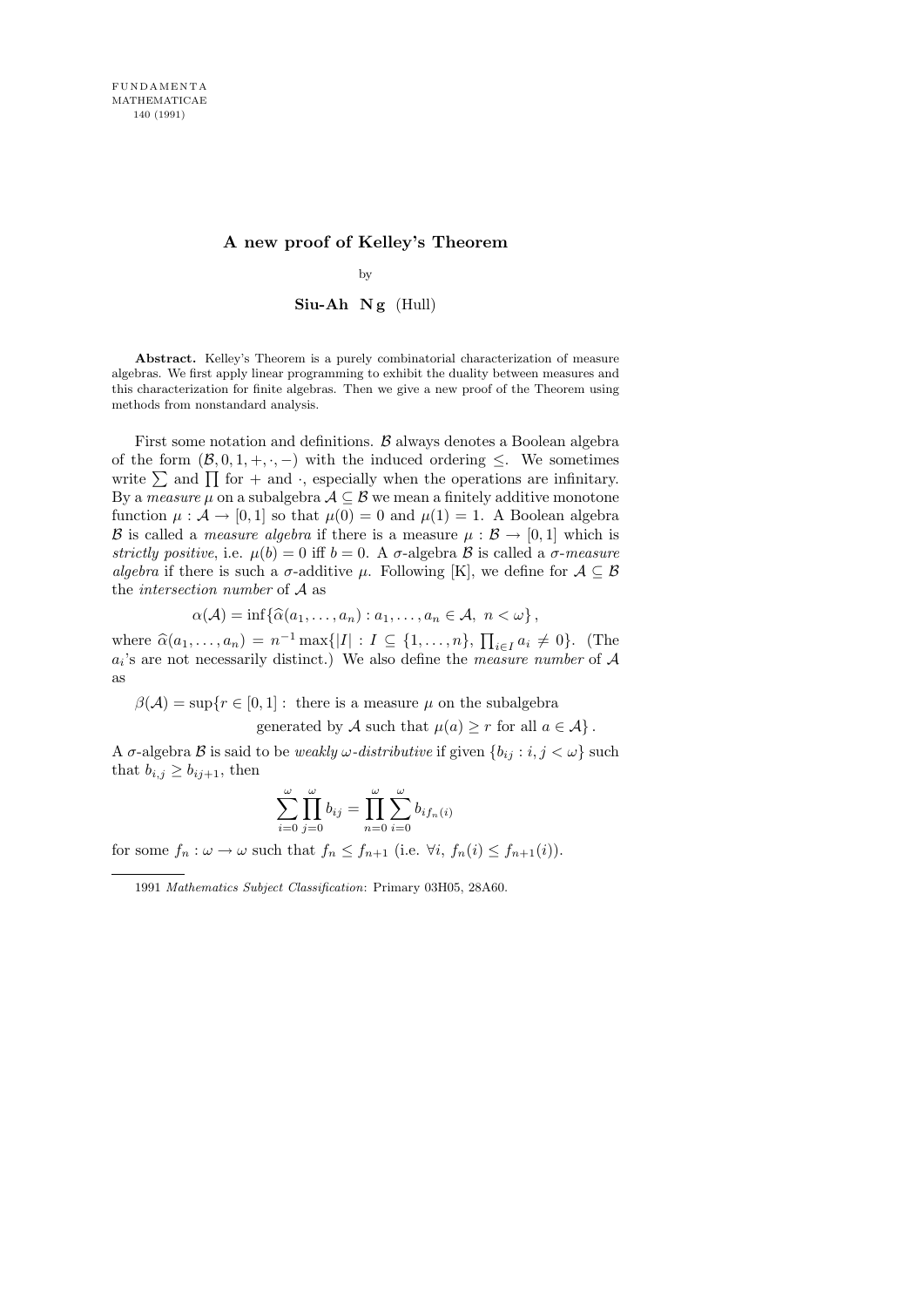# A new proof of Kelley's Theorem

#### by

### $Siu-Ah$  Ng  $(Hull)$

Abstract. Kelley's Theorem is a purely combinatorial characterization of measure algebras. We first apply linear programming to exhibit the duality between measures and this characterization for finite algebras. Then we give a new proof of the Theorem using methods from nonstandard analysis.

First some notation and definitions.  $\beta$  always denotes a Boolean algebra of the form  $(\mathcal{B}, 0, 1, +, \cdot, -)$  with the induced ordering  $\leq$ . We sometimes write  $\sum$  and  $\prod$  for + and  $\cdot$ , especially when the operations are infinitary. By a *measure*  $\mu$  on a subalgebra  $\mathcal{A} \subseteq \mathcal{B}$  we mean a finitely additive monotone function  $\mu : \mathcal{A} \to [0, 1]$  so that  $\mu(0) = 0$  and  $\mu(1) = 1$ . A Boolean algebra B is called a *measure algebra* if there is a measure  $\mu : \mathcal{B} \to [0, 1]$  which is strictly positive, i.e.  $\mu(b) = 0$  iff  $b = 0$ . A  $\sigma$ -algebra  $\beta$  is called a  $\sigma$ -measure algebra if there is such a  $\sigma$ -additive  $\mu$ . Following [K], we define for  $\mathcal{A} \subseteq \mathcal{B}$ the intersection number of A as

$$
\alpha(\mathcal{A}) = \inf \{ \widehat{\alpha}(a_1, \dots, a_n) : a_1, \dots, a_n \in \mathcal{A}, n < \omega \},
$$

where  $\hat{\alpha}(a_1, \ldots, a_n) = n^{-1} \max\{|I| : I \subseteq \{1, \ldots, n\}, \prod_{i \in I} a_i \neq 0\}$ . (The  $a_i$ 's are not necessarily distinct.) We also define the *measure number* of  $A$ as

 $\beta(\mathcal{A}) = \sup\{r \in [0, 1]: \text{ there is a measure } \mu \text{ on the subalgebra }\}$ 

generated by A such that  $\mu(a) \geq r$  for all  $a \in \mathcal{A}$ .

A  $\sigma$ -algebra  $\mathcal B$  is said to be *weakly*  $\omega$ -distributive if given  $\{b_{ij} : i, j < \omega\}$  such that  $b_{i,j} \geq b_{ij+1}$ , then

$$
\sum_{i=0}^{\omega} \prod_{j=0}^{\omega} b_{ij} = \prod_{n=0}^{\omega} \sum_{i=0}^{\omega} b_{if_n(i)}
$$

for some  $f_n : \omega \to \omega$  such that  $f_n \leq f_{n+1}$  (i.e.  $\forall i, f_n(i) \leq f_{n+1}(i)$ ).

<sup>1991</sup> Mathematics Subject Classification: Primary 03H05, 28A60.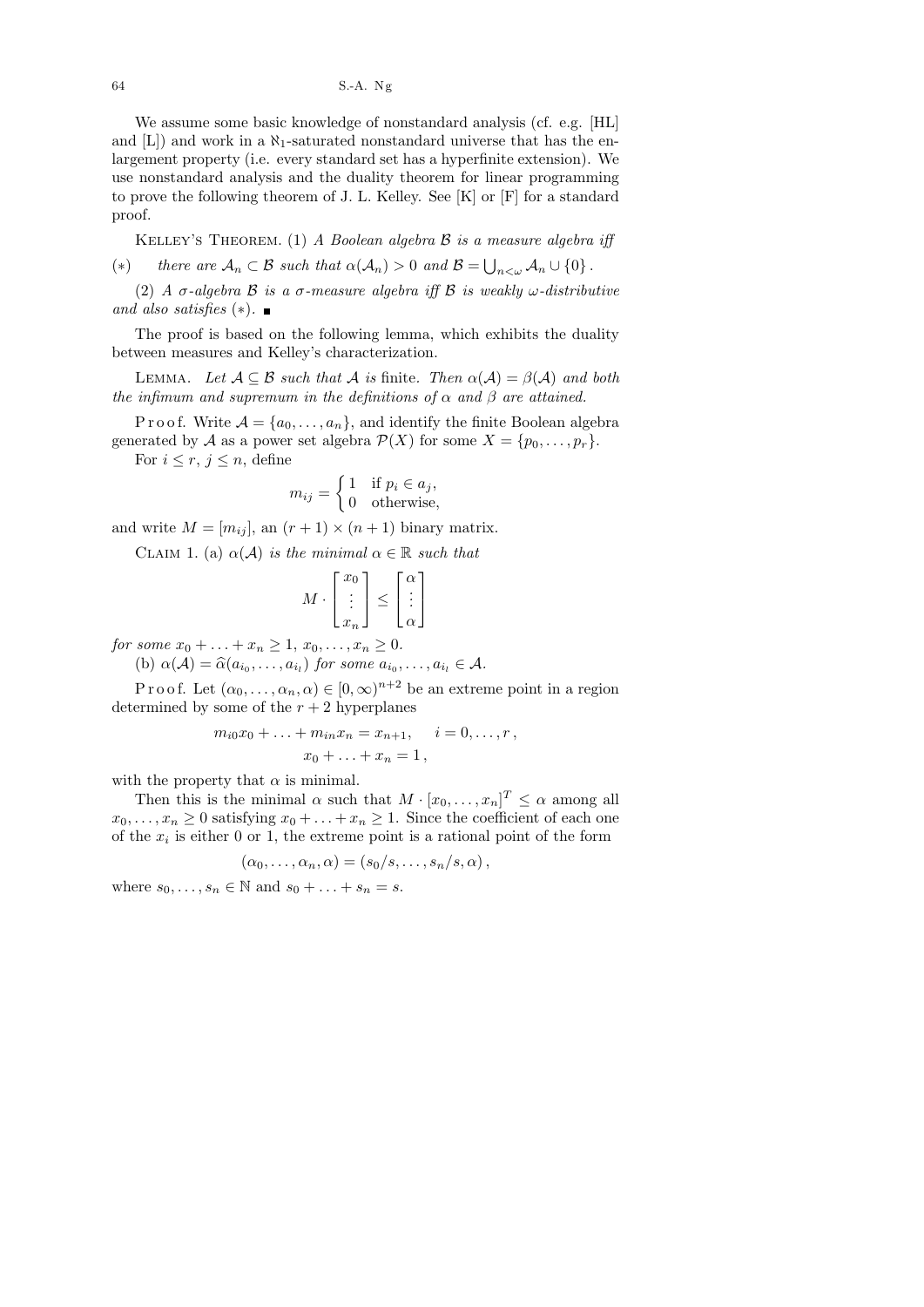64 S.-A. Ng

We assume some basic knowledge of nonstandard analysis (cf. e.g. [HL] and  $[L]$ ) and work in a  $\aleph_1$ -saturated nonstandard universe that has the enlargement property (i.e. every standard set has a hyperfinite extension). We use nonstandard analysis and the duality theorem for linear programming to prove the following theorem of J. L. Kelley. See [K] or [F] for a standard proof.

KELLEY'S THEOREM. (1) A Boolean algebra  $\beta$  is a measure algebra iff (\*) there are  $A_n \subset \mathcal{B}$  such that  $\alpha(A_n) > 0$  and  $\mathcal{B} = \bigcup_{n < \omega} A_n \cup \{0\}$ .

(2) A  $\sigma$ -algebra  $\beta$  is a  $\sigma$ -measure algebra iff  $\beta$  is weakly  $\omega$ -distributive and also satisfies  $(*)$ . ■

The proof is based on the following lemma, which exhibits the duality between measures and Kelley's characterization.

LEMMA. Let  $A \subseteq B$  such that A is finite. Then  $\alpha(A) = \beta(A)$  and both the infimum and supremum in the definitions of  $\alpha$  and  $\beta$  are attained.

P r o o f. Write  $A = \{a_0, \ldots, a_n\}$ , and identify the finite Boolean algebra generated by A as a power set algebra  $\mathcal{P}(X)$  for some  $X = \{p_0, \ldots, p_r\}.$ 

For  $i \leq r, j \leq n$ , define

$$
m_{ij} = \begin{cases} 1 & \text{if } p_i \in a_j, \\ 0 & \text{otherwise,} \end{cases}
$$

and write  $M = [m_{ij}]$ , an  $(r + 1) \times (n + 1)$  binary matrix.

CLAIM 1. (a)  $\alpha(\mathcal{A})$  is the minimal  $\alpha \in \mathbb{R}$  such that

$$
M \cdot \begin{bmatrix} x_0 \\ \vdots \\ x_n \end{bmatrix} \le \begin{bmatrix} \alpha \\ \vdots \\ \alpha \end{bmatrix}
$$

for some  $x_0 + ... + x_n \ge 1$ ,  $x_0, ..., x_n \ge 0$ .

(b)  $\alpha(\mathcal{A}) = \widehat{\alpha}(a_{i_0}, \dots, a_{i_l})$  for some  $a_{i_0}, \dots, a_{i_l} \in \mathcal{A}$ .

P r o o f. Let  $(\alpha_0, \ldots, \alpha_n, \alpha) \in [0, \infty)^{n+2}$  be an extreme point in a region determined by some of the  $r + 2$  hyperplanes

$$
m_{i0}x_0 + \ldots + m_{in}x_n = x_{n+1}, \quad i = 0, \ldots, r,
$$
  

$$
x_0 + \ldots + x_n = 1,
$$

with the property that  $\alpha$  is minimal.

Then this is the minimal  $\alpha$  such that  $M \cdot [x_0, \ldots, x_n]^T \leq \alpha$  among all  $x_0, \ldots, x_n \geq 0$  satisfying  $x_0 + \ldots + x_n \geq 1$ . Since the coefficient of each one of the  $x_i$  is either 0 or 1, the extreme point is a rational point of the form

$$
(\alpha_0,\ldots,\alpha_n,\alpha)=(s_0/s,\ldots,s_n/s,\alpha),
$$

where  $s_0, \ldots, s_n \in \mathbb{N}$  and  $s_0 + \ldots + s_n = s$ .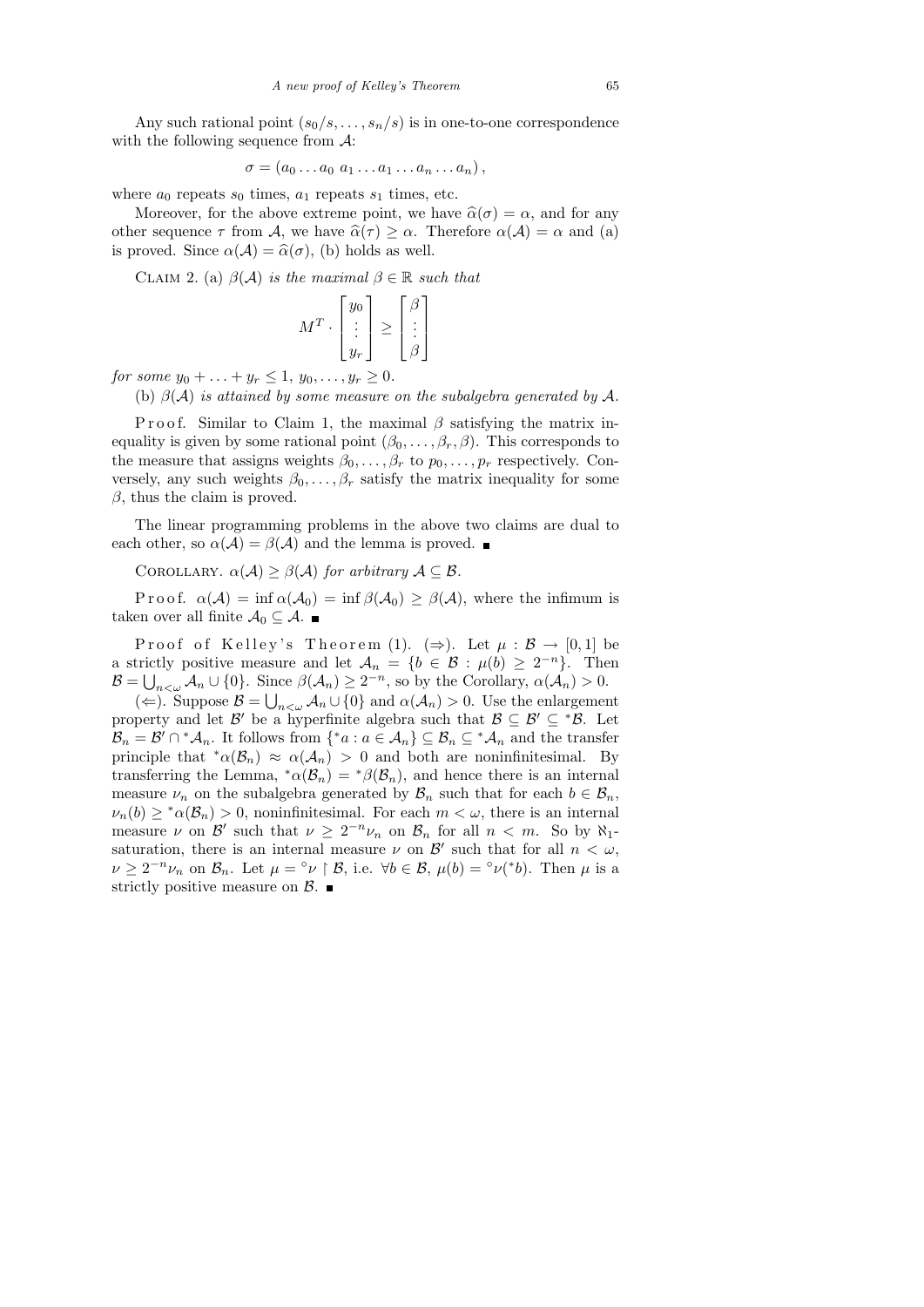Any such rational point  $(s_0/s, \ldots, s_n/s)$  is in one-to-one correspondence with the following sequence from  $\mathcal{A}$ :

$$
\sigma=(a_0\ldots a_0\ a_1\ldots a_1\ldots a_n\ldots a_n),
$$

where  $a_0$  repeats  $s_0$  times,  $a_1$  repeats  $s_1$  times, etc.

Moreover, for the above extreme point, we have  $\hat{\alpha}(\sigma) = \alpha$ , and for any other sequence  $\tau$  from A, we have  $\hat{\alpha}(\tau) \geq \alpha$ . Therefore  $\alpha(\mathcal{A}) = \alpha$  and (a) is proved. Since  $\alpha(\mathcal{A}) = \widehat{\alpha}(\sigma)$ , (b) holds as well.

CLAIM 2. (a)  $\beta(\mathcal{A})$  is the maximal  $\beta \in \mathbb{R}$  such that

$$
M^T \cdot \begin{bmatrix} y_0 \\ \vdots \\ y_r \end{bmatrix} \ge \begin{bmatrix} \beta \\ \vdots \\ \beta \end{bmatrix}
$$

for some  $y_0 + ... + y_r \leq 1, y_0, ..., y_r \geq 0$ .

(b)  $\beta(\mathcal{A})$  is attained by some measure on the subalgebra generated by  $\mathcal{A}$ .

P r o o f. Similar to Claim 1, the maximal  $\beta$  satisfying the matrix inequality is given by some rational point  $(\beta_0, \ldots, \beta_r, \beta)$ . This corresponds to the measure that assigns weights  $\beta_0, \ldots, \beta_r$  to  $p_0, \ldots, p_r$  respectively. Conversely, any such weights  $\beta_0, \ldots, \beta_r$  satisfy the matrix inequality for some  $\beta$ , thus the claim is proved.

The linear programming problems in the above two claims are dual to each other, so  $\alpha(\mathcal{A}) = \beta(\mathcal{A})$  and the lemma is proved.

COROLLARY.  $\alpha(\mathcal{A}) \geq \beta(\mathcal{A})$  for arbitrary  $\mathcal{A} \subseteq \mathcal{B}$ .

P r o o f.  $\alpha(\mathcal{A}) = \inf \alpha(\mathcal{A}_0) = \inf \beta(\mathcal{A}_0) \geq \beta(\mathcal{A})$ , where the infimum is taken over all finite  $\mathcal{A}_0 \subseteq \mathcal{A}$ .

Proof of Kelley's Theorem (1). ( $\Rightarrow$ ). Let  $\mu : \mathcal{B} \to [0,1]$  be a strictly positive measure and let  $A_n = \{b \in \mathcal{B} : \mu(b) \geq 2^{-n}\}.$  Then  $\mathcal{B} = \bigcup_{n<\omega} A_n \cup \{0\}.$  Since  $\beta(A_n) \geq 2^{-n}$ , so by the Corollary,  $\alpha(A_n) > 0$ .

( $\Leftarrow$ ). Suppose  $\mathcal{B} = \bigcup_{n<\omega} A_n \cup \{0\}$  and  $\alpha(A_n) > 0$ . Use the enlargement property and let  $\mathcal{B}'$  be a hyperfinite algebra such that  $\mathcal{B} \subseteq \mathcal{B}' \subseteq {}^*\mathcal{B}$ . Let  $\mathcal{B}_n = \mathcal{B}' \cap {}^* \mathcal{A}_n$ . It follows from  $\{ {}^* a : a \in \mathcal{A}_n \} \subseteq \mathcal{B}_n \subseteq {}^* \mathcal{A}_n$  and the transfer principle that  $^*\alpha(\mathcal{B}_n) \approx \alpha(\mathcal{A}_n) > 0$  and both are noninfinitesimal. By transferring the Lemma,  $^*\alpha(\mathcal{B}_n) = ^*\beta(\mathcal{B}_n)$ , and hence there is an internal measure  $\nu_n$  on the subalgebra generated by  $\mathcal{B}_n$  such that for each  $b \in \mathcal{B}_n$ ,  $\nu_n(b) \geq \alpha(\mathcal{B}_n) > 0$ , noninfinitesimal. For each  $m < \omega$ , there is an internal measure  $\nu$  on  $\mathcal{B}'$  such that  $\nu \geq 2^{-n}\nu_n$  on  $\mathcal{B}_n$  for all  $n < m$ . So by  $\aleph_1$ saturation, there is an internal measure  $\nu$  on  $\mathcal{B}'$  such that for all  $n < \omega$ ,  $\nu \geq 2^{-n}\nu_n$  on  $\mathcal{B}_n$ . Let  $\mu = \nu \restriction \mathcal{B}$ , i.e.  $\forall b \in \mathcal{B}$ ,  $\mu(b) = \nu^*(b)$ . Then  $\mu$  is a strictly positive measure on  $\beta$ .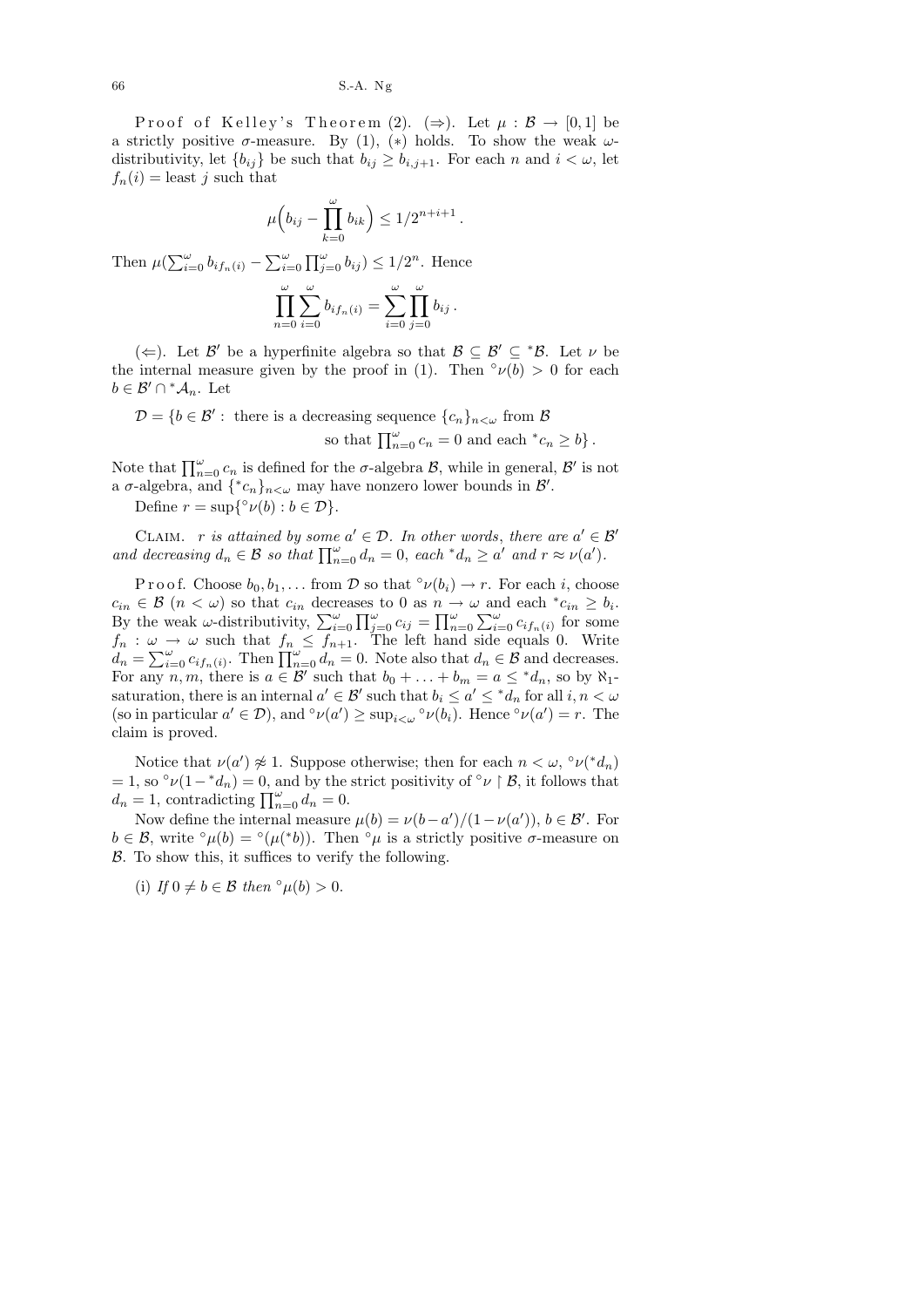Proof of Kelley's Theorem (2). ( $\Rightarrow$ ). Let  $\mu : \mathcal{B} \to [0,1]$  be a strictly positive  $\sigma$ -measure. By (1), (\*) holds. To show the weak  $\omega$ distributivity, let  $\{b_{ij}\}\$ be such that  $b_{ij}\geq b_{i,j+1}$ . For each n and  $i<\omega$ , let  $f_n(i) =$  least j such that

$$
\mu\Big(b_{ij}-\prod_{k=0}^{\omega}b_{ik}\Big)\leq 1/2^{n+i+1}.
$$

Then  $\mu(\sum_{i=0}^{\omega} b_{if_n(i)} - \sum_{i=0}^{\omega} \prod_{j=0}^{\omega} b_{ij}) \leq 1/2^n$ . Hence

$$
\prod_{n=0}^{\omega} \sum_{i=0}^{\omega} b_{if_n(i)} = \sum_{i=0}^{\omega} \prod_{j=0}^{\omega} b_{ij}.
$$

(←). Let  $\mathcal{B}'$  be a hyperfinite algebra so that  $\mathcal{B} \subseteq \mathcal{B}' \subseteq \mathcal{B}'$ . Let  $\nu$  be the internal measure given by the proof in (1). Then  $\partial \nu(b) > 0$  for each  $b \in \mathcal{B}' \cap {}^{\ast} \mathcal{A}_n$ . Let

$$
\mathcal{D} = \{b \in \mathcal{B}' : \text{ there is a decreasing sequence } \{c_n\}_{n < \omega} \text{ from } \mathcal{B}
$$
  
so that  $\prod_{n=0}^{\omega} c_n = 0 \text{ and each } {}^*c_n \ge b \}.$ 

Note that  $\prod_{n=0}^{\omega} c_n$  is defined for the  $\sigma$ -algebra  $\mathcal{B}$ , while in general,  $\mathcal{B}'$  is not a  $\sigma$ -algebra, and  $\{^*c_n\}_{n<\omega}$  may have nonzero lower bounds in  $\mathcal{B}'$ .

Define  $r = \sup\{^{\circ} \nu(b) : b \in \mathcal{D}\}.$ 

CLAIM. r is attained by some  $a' \in \mathcal{D}$ . In other words, there are  $a' \in \mathcal{B}'$ and decreasing  $d_n \in \mathcal{B}$  so that  $\prod_{n=0}^{\omega} d_n = 0$ , each \* $d_n \ge a'$  and  $r \approx \nu(a')$ .

P r o o f. Choose  $b_0, b_1, \ldots$  from D so that  $\partial \nu(b_i) \to r$ . For each i, choose  $c_{in} \in \mathcal{B}$   $(n < \omega)$  so that  $c_{in}$  decreases to 0 as  $n \to \omega$  and each  $^*c_{in} \geq b_i$ . By the weak  $\omega$ -distributivity,  $\sum_{i=0}^{\omega} \prod_{j=0}^{\omega} c_{ij} = \prod_{n=0}^{\omega} \sum_{i=0}^{\omega} c_{if_n(i)}$  for some  $f_n: \omega \to \omega$  such that  $f_n \leq f_{n+1}$ . The left hand side equals 0. Write  $d_n = \sum_{i=0}^{\omega} c_{if_n(i)}$ . Then  $\prod_{n=0}^{\omega} d_n = 0$ . Note also that  $d_n \in \mathcal{B}$  and decreases. For any n, m, there is  $a \in \mathcal{B}'$  such that  $b_0 + \ldots + b_m = a \leq {}^*d_n$ , so by  $\aleph_1$ saturation, there is an internal  $a' \in \mathcal{B}'$  such that  $b_i \le a' \le {}^*d_n$  for all  $i, n < \omega$ <br>(so in particular  $a' \in \mathcal{D}$ ) and  ${}^{\circ}u(a') >$  super  ${}^{\circ}u(b_1)$ . Hence  ${}^{\circ}u(a') = r$ . The (so in particular  $a' \in \mathcal{D}$ ), and ° $\nu(a') \ge \sup_{i \le \omega}$ ° $\nu(b_i)$ . Hence ° $\nu(a') = r$ . The claim is proved.

Notice that  $\nu(a') \not\approx 1$ . Suppose otherwise; then for each  $n < \omega$ ,  $\partial \nu(^* d_n)$ = 1, so ° $\nu(1-{^*d_n})=0$ , and by the strict positivity of ° $\nu \upharpoonright \mathcal{B}$ , it follows that  $d_n = 1$ , contradicting  $\prod_{n=0}^{\omega} d_n = 0$ .

Now define the internal measure  $\mu(b) = \nu(b-a')/(1-\nu(a'))$ ,  $b \in \mathcal{B}'$ . For  $b \in \mathcal{B}$ , write ° $\mu(b) =$ ° $(\mu({}^*b))$ . Then ° $\mu$  is a strictly positive  $\sigma$ -measure on B. To show this, it suffices to verify the following.

(i) If  $0 \neq b \in \mathcal{B}$  then  $\degree \mu(b) > 0$ .